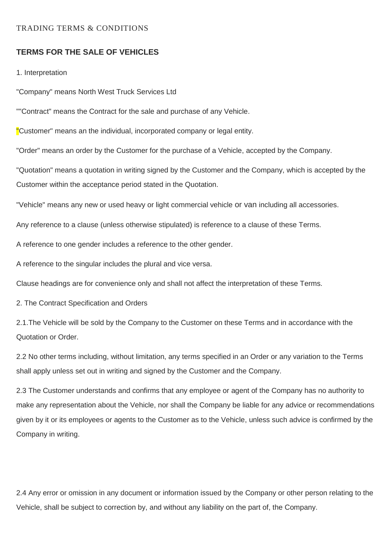## TRADING TERMS & CONDITIONS

## **TERMS FOR THE SALE OF VEHICLES**

1. Interpretation

"Company" means North West Truck Services Ltd

""Contract" means the Contract for the sale and purchase of any Vehicle.

"Customer" means an the individual, incorporated company or legal entity.

"Order" means an order by the Customer for the purchase of a Vehicle, accepted by the Company.

"Quotation" means a quotation in writing signed by the Customer and the Company, which is accepted by the Customer within the acceptance period stated in the Quotation.

"Vehicle" means any new or used heavy or light commercial vehicle or van including all accessories.

Any reference to a clause (unless otherwise stipulated) is reference to a clause of these Terms.

A reference to one gender includes a reference to the other gender.

A reference to the singular includes the plural and vice versa.

Clause headings are for convenience only and shall not affect the interpretation of these Terms.

2. The Contract Specification and Orders

2.1.The Vehicle will be sold by the Company to the Customer on these Terms and in accordance with the Quotation or Order.

2.2 No other terms including, without limitation, any terms specified in an Order or any variation to the Terms shall apply unless set out in writing and signed by the Customer and the Company.

2.3 The Customer understands and confirms that any employee or agent of the Company has no authority to make any representation about the Vehicle, nor shall the Company be liable for any advice or recommendations given by it or its employees or agents to the Customer as to the Vehicle, unless such advice is confirmed by the Company in writing.

2.4 Any error or omission in any document or information issued by the Company or other person relating to the Vehicle, shall be subject to correction by, and without any liability on the part of, the Company.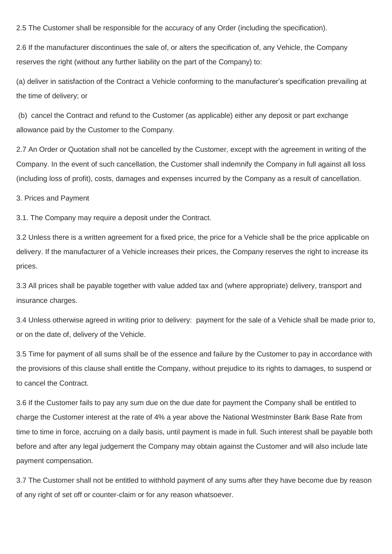2.5 The Customer shall be responsible for the accuracy of any Order (including the specification).

2.6 If the manufacturer discontinues the sale of, or alters the specification of, any Vehicle, the Company reserves the right (without any further liability on the part of the Company) to:

(a) deliver in satisfaction of the Contract a Vehicle conforming to the manufacturer's specification prevailing at the time of delivery; or

(b) cancel the Contract and refund to the Customer (as applicable) either any deposit or part exchange allowance paid by the Customer to the Company.

2.7 An Order or Quotation shall not be cancelled by the Customer, except with the agreement in writing of the Company. In the event of such cancellation, the Customer shall indemnify the Company in full against all loss (including loss of profit), costs, damages and expenses incurred by the Company as a result of cancellation.

3. Prices and Payment

3.1. The Company may require a deposit under the Contract.

3.2 Unless there is a written agreement for a fixed price, the price for a Vehicle shall be the price applicable on delivery. If the manufacturer of a Vehicle increases their prices, the Company reserves the right to increase its prices.

3.3 All prices shall be payable together with value added tax and (where appropriate) delivery, transport and insurance charges.

3.4 Unless otherwise agreed in writing prior to delivery: payment for the sale of a Vehicle shall be made prior to, or on the date of, delivery of the Vehicle.

3.5 Time for payment of all sums shall be of the essence and failure by the Customer to pay in accordance with the provisions of this clause shall entitle the Company, without prejudice to its rights to damages, to suspend or to cancel the Contract.

3.6 If the Customer fails to pay any sum due on the due date for payment the Company shall be entitled to charge the Customer interest at the rate of 4% a year above the National Westminster Bank Base Rate from time to time in force, accruing on a daily basis, until payment is made in full. Such interest shall be payable both before and after any legal judgement the Company may obtain against the Customer and will also include late payment compensation.

3.7 The Customer shall not be entitled to withhold payment of any sums after they have become due by reason of any right of set off or counter-claim or for any reason whatsoever.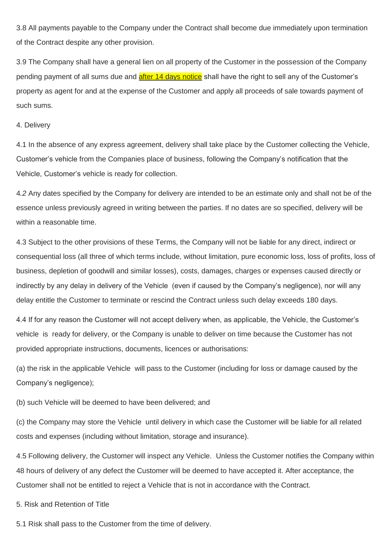3.8 All payments payable to the Company under the Contract shall become due immediately upon termination of the Contract despite any other provision.

3.9 The Company shall have a general lien on all property of the Customer in the possession of the Company pending payment of all sums due and after 14 days notice shall have the right to sell any of the Customer's property as agent for and at the expense of the Customer and apply all proceeds of sale towards payment of such sums.

#### 4. Delivery

4.1 In the absence of any express agreement, delivery shall take place by the Customer collecting the Vehicle, Customer's vehicle from the Companies place of business, following the Company's notification that the Vehicle, Customer's vehicle is ready for collection.

4*.2* Any dates specified by the Company for delivery are intended to be an estimate only and shall not be of the essence unless previously agreed in writing between the parties. If no dates are so specified, delivery will be within a reasonable time.

4.3 Subject to the other provisions of these Terms, the Company will not be liable for any direct, indirect or consequential loss (all three of which terms include, without limitation, pure economic loss, loss of profits, loss of business, depletion of goodwill and similar losses), costs, damages, charges or expenses caused directly or indirectly by any delay in delivery of the Vehicle (even if caused by the Company's negligence), nor will any delay entitle the Customer to terminate or rescind the Contract unless such delay exceeds 180 days.

4.4 If for any reason the Customer will not accept delivery when, as applicable, the Vehicle, the Customer's vehicle is ready for delivery, or the Company is unable to deliver on time because the Customer has not provided appropriate instructions, documents, licences or authorisations:

(a) the risk in the applicable Vehicle will pass to the Customer (including for loss or damage caused by the Company's negligence);

(b) such Vehicle will be deemed to have been delivered; and

(c) the Company may store the Vehicle until delivery in which case the Customer will be liable for all related costs and expenses (including without limitation, storage and insurance).

4.5 Following delivery, the Customer will inspect any Vehicle. Unless the Customer notifies the Company within 48 hours of delivery of any defect the Customer will be deemed to have accepted it. After acceptance, the Customer shall not be entitled to reject a Vehicle that is not in accordance with the Contract.

5. Risk and Retention of Title

5.1 Risk shall pass to the Customer from the time of delivery.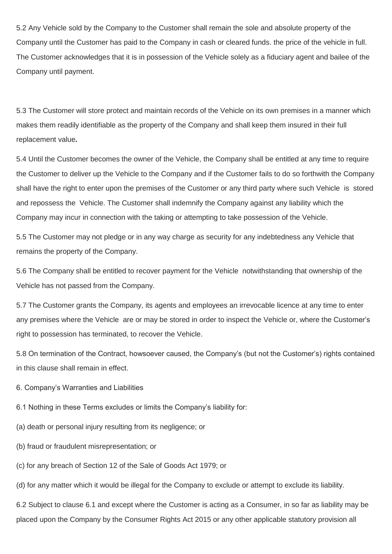5.2 Any Vehicle sold by the Company to the Customer shall remain the sole and absolute property of the Company until the Customer has paid to the Company in cash or cleared funds. the price of the vehicle in full. The Customer acknowledges that it is in possession of the Vehicle solely as a fiduciary agent and bailee of the Company until payment.

5.3 The Customer will store protect and maintain records of the Vehicle on its own premises in a manner which makes them readily identifiable as the property of the Company and shall keep them insured in their full replacement value**.** 

5.4 Until the Customer becomes the owner of the Vehicle, the Company shall be entitled at any time to require the Customer to deliver up the Vehicle to the Company and if the Customer fails to do so forthwith the Company shall have the right to enter upon the premises of the Customer or any third party where such Vehicle is stored and repossess the Vehicle. The Customer shall indemnify the Company against any liability which the Company may incur in connection with the taking or attempting to take possession of the Vehicle.

5.5 The Customer may not pledge or in any way charge as security for any indebtedness any Vehicle that remains the property of the Company.

5.6 The Company shall be entitled to recover payment for the Vehicle notwithstanding that ownership of the Vehicle has not passed from the Company.

5.7 The Customer grants the Company, its agents and employees an irrevocable licence at any time to enter any premises where the Vehicle are or may be stored in order to inspect the Vehicle or, where the Customer's right to possession has terminated, to recover the Vehicle.

5.8 On termination of the Contract, howsoever caused, the Company's (but not the Customer's) rights contained in this clause shall remain in effect.

6. Company's Warranties and Liabilities

6.1 Nothing in these Terms excludes or limits the Company's liability for:

- (a) death or personal injury resulting from its negligence; or
- (b) fraud or fraudulent misrepresentation; or

(c) for any breach of Section 12 of the Sale of Goods Act 1979; or

(d) for any matter which it would be illegal for the Company to exclude or attempt to exclude its liability.

6.2 Subject to clause 6.1 and except where the Customer is acting as a Consumer, in so far as liability may be placed upon the Company by the Consumer Rights Act 2015 or any other applicable statutory provision all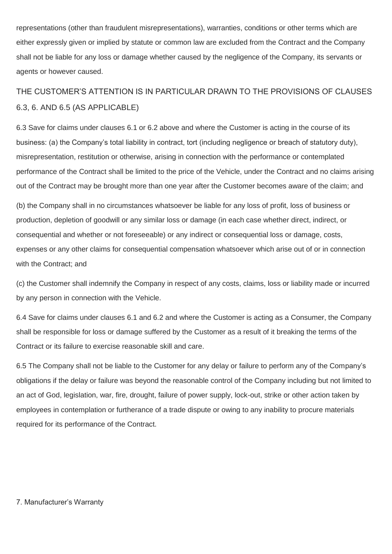representations (other than fraudulent misrepresentations), warranties, conditions or other terms which are either expressly given or implied by statute or common law are excluded from the Contract and the Company shall not be liable for any loss or damage whether caused by the negligence of the Company, its servants or agents or however caused.

# THE CUSTOMER'S ATTENTION IS IN PARTICULAR DRAWN TO THE PROVISIONS OF CLAUSES 6.3, 6. AND 6.5 (AS APPLICABLE)

6.3 Save for claims under clauses 6.1 or 6.2 above and where the Customer is acting in the course of its business: (a) the Company's total liability in contract, tort (including negligence or breach of statutory duty), misrepresentation, restitution or otherwise, arising in connection with the performance or contemplated performance of the Contract shall be limited to the price of the Vehicle, under the Contract and no claims arising out of the Contract may be brought more than one year after the Customer becomes aware of the claim; and

(b) the Company shall in no circumstances whatsoever be liable for any loss of profit, loss of business or production, depletion of goodwill or any similar loss or damage (in each case whether direct, indirect, or consequential and whether or not foreseeable) or any indirect or consequential loss or damage, costs, expenses or any other claims for consequential compensation whatsoever which arise out of or in connection with the Contract; and

(c) the Customer shall indemnify the Company in respect of any costs, claims, loss or liability made or incurred by any person in connection with the Vehicle.

6.4 Save for claims under clauses 6.1 and 6.2 and where the Customer is acting as a Consumer, the Company shall be responsible for loss or damage suffered by the Customer as a result of it breaking the terms of the Contract or its failure to exercise reasonable skill and care.

6.5 The Company shall not be liable to the Customer for any delay or failure to perform any of the Company's obligations if the delay or failure was beyond the reasonable control of the Company including but not limited to an act of God, legislation, war, fire, drought, failure of power supply, lock-out, strike or other action taken by employees in contemplation or furtherance of a trade dispute or owing to any inability to procure materials required for its performance of the Contract.

### 7. Manufacturer's Warranty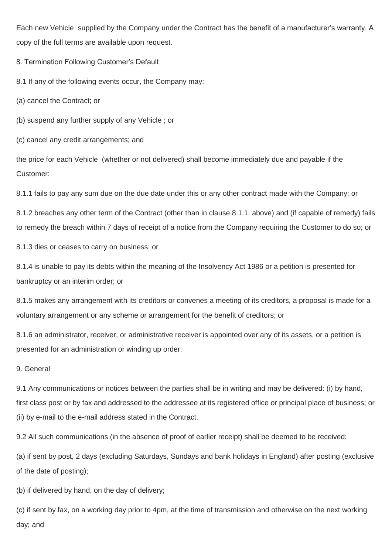Each new Vehicle supplied by the Company under the Contract has the benefit of a manufacturer's warranty. A copy of the full terms are available upon request.

8. Termination Following Customer's Default

8.1 If any of the following events occur, the Company may:

(a) cancel the Contract; or

(b) suspend any further supply of any Vehicle ; or

(c) cancel any credit arrangements; and

the price for each Vehicle (whether or not delivered) shall become immediately due and payable if the Customer:

8.1.1 fails to pay any sum due on the due date under this or any other contract made with the Company; or

8.1.2 breaches any other term of the Contract (other than in clause 8.1.1. above) and (if capable of remedy) fails to remedy the breach within 7 days of receipt of a notice from the Company requiring the Customer to do so; or

8.1.3 dies or ceases to carry on business; or

8.1.4 is unable to pay its debts within the meaning of the Insolvency Act 1986 or a petition is presented for bankruptcy or an interim order; or

8.1.5 makes any arrangement with its creditors or convenes a meeting of its creditors, a proposal is made for a voluntary arrangement or any scheme or arrangement for the benefit of creditors; or

8.1.6 an administrator, receiver, or administrative receiver is appointed over any of its assets, or a petition is presented for an administration or winding up order.

## 9. General

9.1 Any communications or notices between the parties shall be in writing and may be delivered: (i) by hand, first class post or by fax and addressed to the addressee at its registered office or principal place of business; or (ii) by e-mail to the e-mail address stated in the Contract.

9.2 All such communications (in the absence of proof of earlier receipt) shall be deemed to be received:

(a) if sent by post, 2 days (excluding Saturdays, Sundays and bank holidays in England) after posting (exclusive of the date of posting);

(b) if delivered by hand, on the day of delivery;

(c) if sent by fax, on a working day prior to 4pm, at the time of transmission and otherwise on the next working day; and